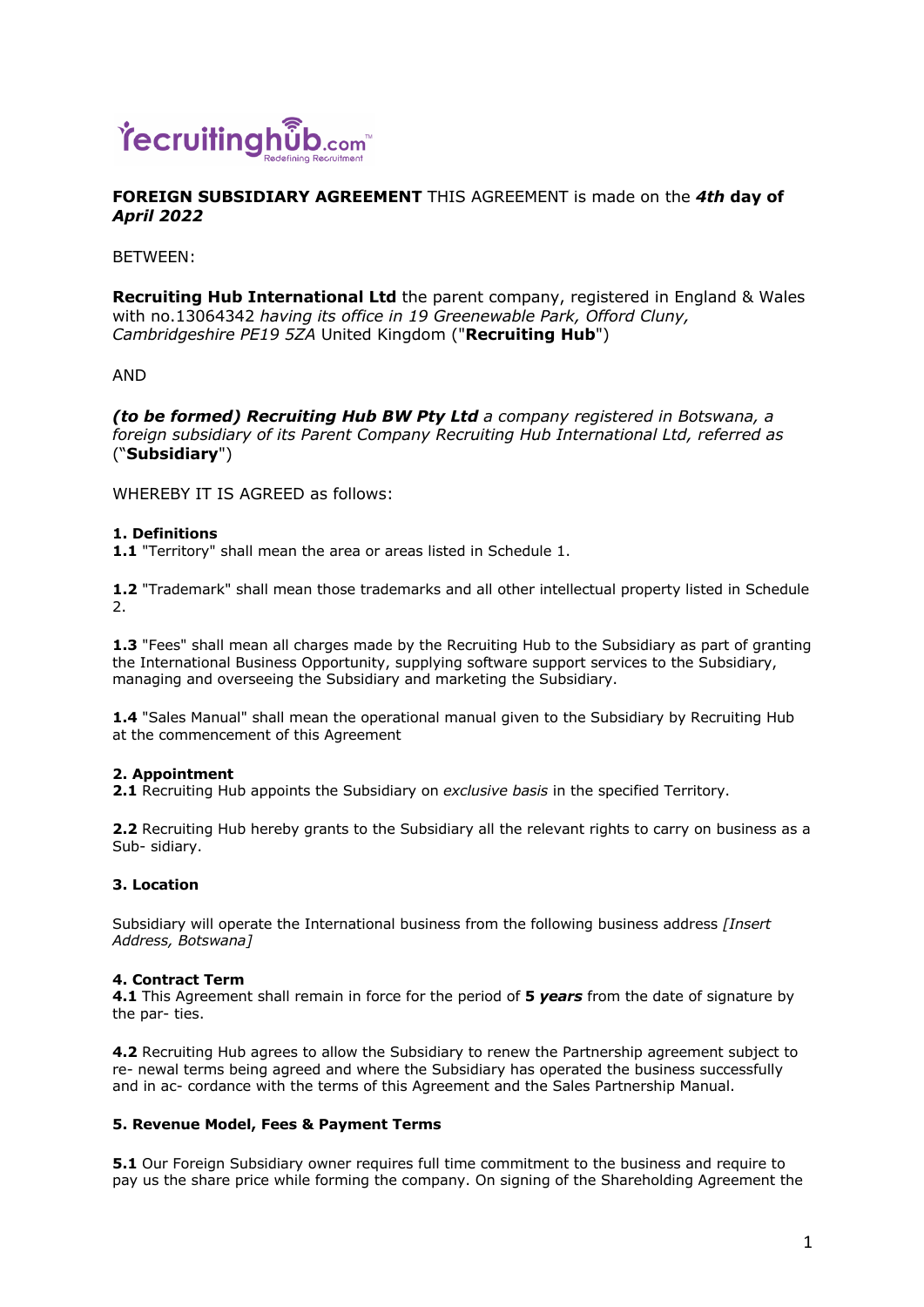

# **FOREIGN SUBSIDIARY AGREEMENT** THIS AGREEMENT is made on the *4th* **day of**  *April 2022*

BETWEEN:

**Recruiting Hub International Ltd** the parent company, registered in England & Wales with no.13064342 *having its office in 19 Greenewable Park, Offord Cluny, Cambridgeshire PE19 5ZA* United Kingdom ("**Recruiting Hub**")

AND

*(to be formed) Recruiting Hub BW Pty Ltd a company registered in Botswana, a foreign subsidiary of its Parent Company Recruiting Hub International Ltd, referred as*  ("**Subsidiary**")

WHEREBY IT IS AGREED as follows:

## **1. Definitions**

**1.1** "Territory" shall mean the area or areas listed in Schedule 1.

**1.2** "Trademark" shall mean those trademarks and all other intellectual property listed in Schedule 2.

**1.3** "Fees" shall mean all charges made by the Recruiting Hub to the Subsidiary as part of granting the International Business Opportunity, supplying software support services to the Subsidiary, managing and overseeing the Subsidiary and marketing the Subsidiary.

**1.4** "Sales Manual" shall mean the operational manual given to the Subsidiary by Recruiting Hub at the commencement of this Agreement

# **2. Appointment**

**2.1** Recruiting Hub appoints the Subsidiary on *exclusive basis* in the specified Territory.

**2.2** Recruiting Hub hereby grants to the Subsidiary all the relevant rights to carry on business as a Sub- sidiary.

### **3. Location**

Subsidiary will operate the International business from the following business address *[Insert Address, Botswana]* 

### **4. Contract Term**

**4.1** This Agreement shall remain in force for the period of **5** *years* from the date of signature by the par- ties.

**4.2** Recruiting Hub agrees to allow the Subsidiary to renew the Partnership agreement subject to re- newal terms being agreed and where the Subsidiary has operated the business successfully and in ac- cordance with the terms of this Agreement and the Sales Partnership Manual.

### **5. Revenue Model, Fees & Payment Terms**

**5.1** Our Foreign Subsidiary owner requires full time commitment to the business and require to pay us the share price while forming the company. On signing of the Shareholding Agreement the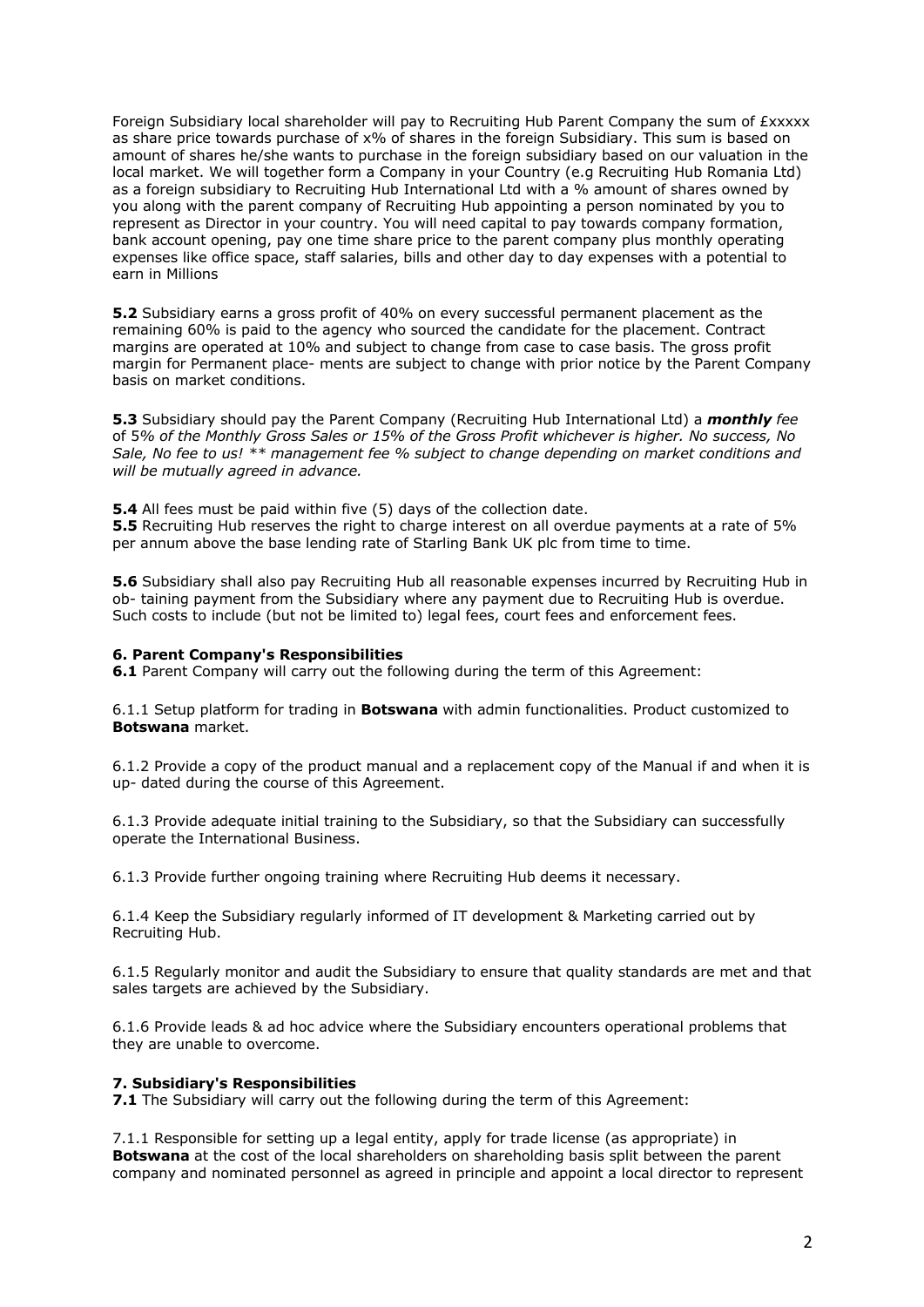Foreign Subsidiary local shareholder will pay to Recruiting Hub Parent Company the sum of £xxxxx as share price towards purchase of x% of shares in the foreign Subsidiary. This sum is based on amount of shares he/she wants to purchase in the foreign subsidiary based on our valuation in the local market. We will together form a Company in your Country (e.g Recruiting Hub Romania Ltd) as a foreign subsidiary to Recruiting Hub International Ltd with a % amount of shares owned by you along with the parent company of Recruiting Hub appointing a person nominated by you to represent as Director in your country. You will need capital to pay towards company formation, bank account opening, pay one time share price to the parent company plus monthly operating expenses like office space, staff salaries, bills and other day to day expenses with a potential to earn in Millions

**5.2** Subsidiary earns a gross profit of 40% on every successful permanent placement as the remaining 60% is paid to the agency who sourced the candidate for the placement. Contract margins are operated at 10% and subject to change from case to case basis. The gross profit margin for Permanent place- ments are subject to change with prior notice by the Parent Company basis on market conditions.

**5.3** Subsidiary should pay the Parent Company (Recruiting Hub International Ltd) a *monthly fee*  of 5*% of the Monthly Gross Sales or 15% of the Gross Profit whichever is higher. No success, No Sale, No fee to us! \*\* management fee % subject to change depending on market conditions and will be mutually agreed in advance.* 

**5.4** All fees must be paid within five (5) days of the collection date.

**5.5** Recruiting Hub reserves the right to charge interest on all overdue payments at a rate of 5% per annum above the base lending rate of Starling Bank UK plc from time to time.

**5.6** Subsidiary shall also pay Recruiting Hub all reasonable expenses incurred by Recruiting Hub in ob- taining payment from the Subsidiary where any payment due to Recruiting Hub is overdue. Such costs to include (but not be limited to) legal fees, court fees and enforcement fees.

### **6. Parent Company's Responsibilities**

**6.1** Parent Company will carry out the following during the term of this Agreement:

6.1.1 Setup platform for trading in **Botswana** with admin functionalities. Product customized to **Botswana** market.

6.1.2 Provide a copy of the product manual and a replacement copy of the Manual if and when it is up- dated during the course of this Agreement.

6.1.3 Provide adequate initial training to the Subsidiary, so that the Subsidiary can successfully operate the International Business.

6.1.3 Provide further ongoing training where Recruiting Hub deems it necessary.

6.1.4 Keep the Subsidiary regularly informed of IT development & Marketing carried out by Recruiting Hub.

6.1.5 Regularly monitor and audit the Subsidiary to ensure that quality standards are met and that sales targets are achieved by the Subsidiary.

6.1.6 Provide leads & ad hoc advice where the Subsidiary encounters operational problems that they are unable to overcome.

### **7. Subsidiary's Responsibilities**

**7.1** The Subsidiary will carry out the following during the term of this Agreement:

7.1.1 Responsible for setting up a legal entity, apply for trade license (as appropriate) in **Botswana** at the cost of the local shareholders on shareholding basis split between the parent company and nominated personnel as agreed in principle and appoint a local director to represent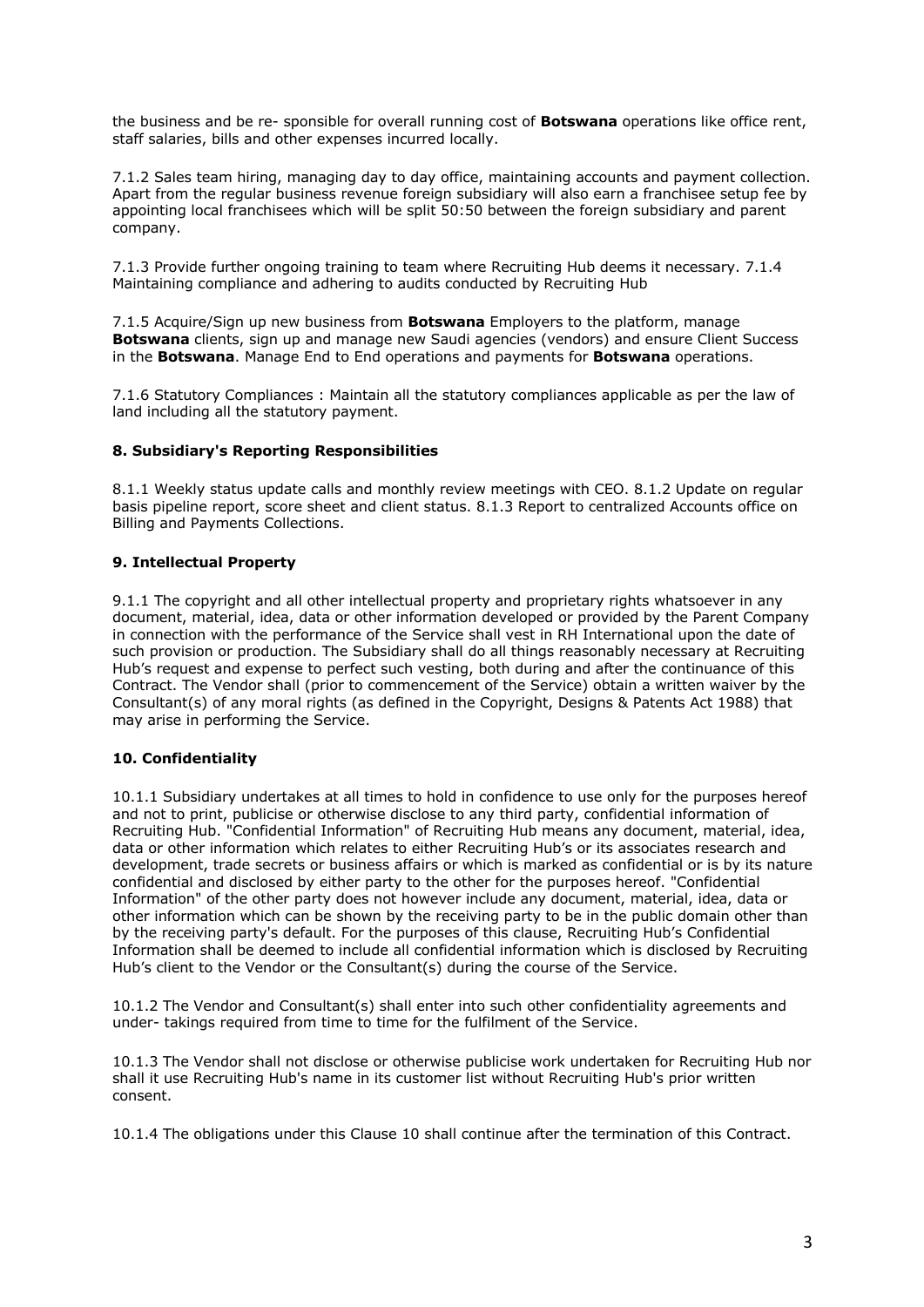the business and be re- sponsible for overall running cost of **Botswana** operations like office rent, staff salaries, bills and other expenses incurred locally.

7.1.2 Sales team hiring, managing day to day office, maintaining accounts and payment collection. Apart from the regular business revenue foreign subsidiary will also earn a franchisee setup fee by appointing local franchisees which will be split 50:50 between the foreign subsidiary and parent company.

7.1.3 Provide further ongoing training to team where Recruiting Hub deems it necessary. 7.1.4 Maintaining compliance and adhering to audits conducted by Recruiting Hub

7.1.5 Acquire/Sign up new business from **Botswana** Employers to the platform, manage **Botswana** clients, sign up and manage new Saudi agencies (vendors) and ensure Client Success in the **Botswana**. Manage End to End operations and payments for **Botswana** operations.

7.1.6 Statutory Compliances : Maintain all the statutory compliances applicable as per the law of land including all the statutory payment.

### **8. Subsidiary's Reporting Responsibilities**

8.1.1 Weekly status update calls and monthly review meetings with CEO. 8.1.2 Update on regular basis pipeline report, score sheet and client status. 8.1.3 Report to centralized Accounts office on Billing and Payments Collections.

### **9. Intellectual Property**

9.1.1 The copyright and all other intellectual property and proprietary rights whatsoever in any document, material, idea, data or other information developed or provided by the Parent Company in connection with the performance of the Service shall vest in RH International upon the date of such provision or production. The Subsidiary shall do all things reasonably necessary at Recruiting Hub's request and expense to perfect such vesting, both during and after the continuance of this Contract. The Vendor shall (prior to commencement of the Service) obtain a written waiver by the Consultant(s) of any moral rights (as defined in the Copyright, Designs & Patents Act 1988) that may arise in performing the Service.

### **10. Confidentiality**

10.1.1 Subsidiary undertakes at all times to hold in confidence to use only for the purposes hereof and not to print, publicise or otherwise disclose to any third party, confidential information of Recruiting Hub. "Confidential Information" of Recruiting Hub means any document, material, idea, data or other information which relates to either Recruiting Hub's or its associates research and development, trade secrets or business affairs or which is marked as confidential or is by its nature confidential and disclosed by either party to the other for the purposes hereof. "Confidential Information" of the other party does not however include any document, material, idea, data or other information which can be shown by the receiving party to be in the public domain other than by the receiving party's default. For the purposes of this clause, Recruiting Hub's Confidential Information shall be deemed to include all confidential information which is disclosed by Recruiting Hub's client to the Vendor or the Consultant(s) during the course of the Service.

10.1.2 The Vendor and Consultant(s) shall enter into such other confidentiality agreements and under- takings required from time to time for the fulfilment of the Service.

10.1.3 The Vendor shall not disclose or otherwise publicise work undertaken for Recruiting Hub nor shall it use Recruiting Hub's name in its customer list without Recruiting Hub's prior written consent.

10.1.4 The obligations under this Clause 10 shall continue after the termination of this Contract.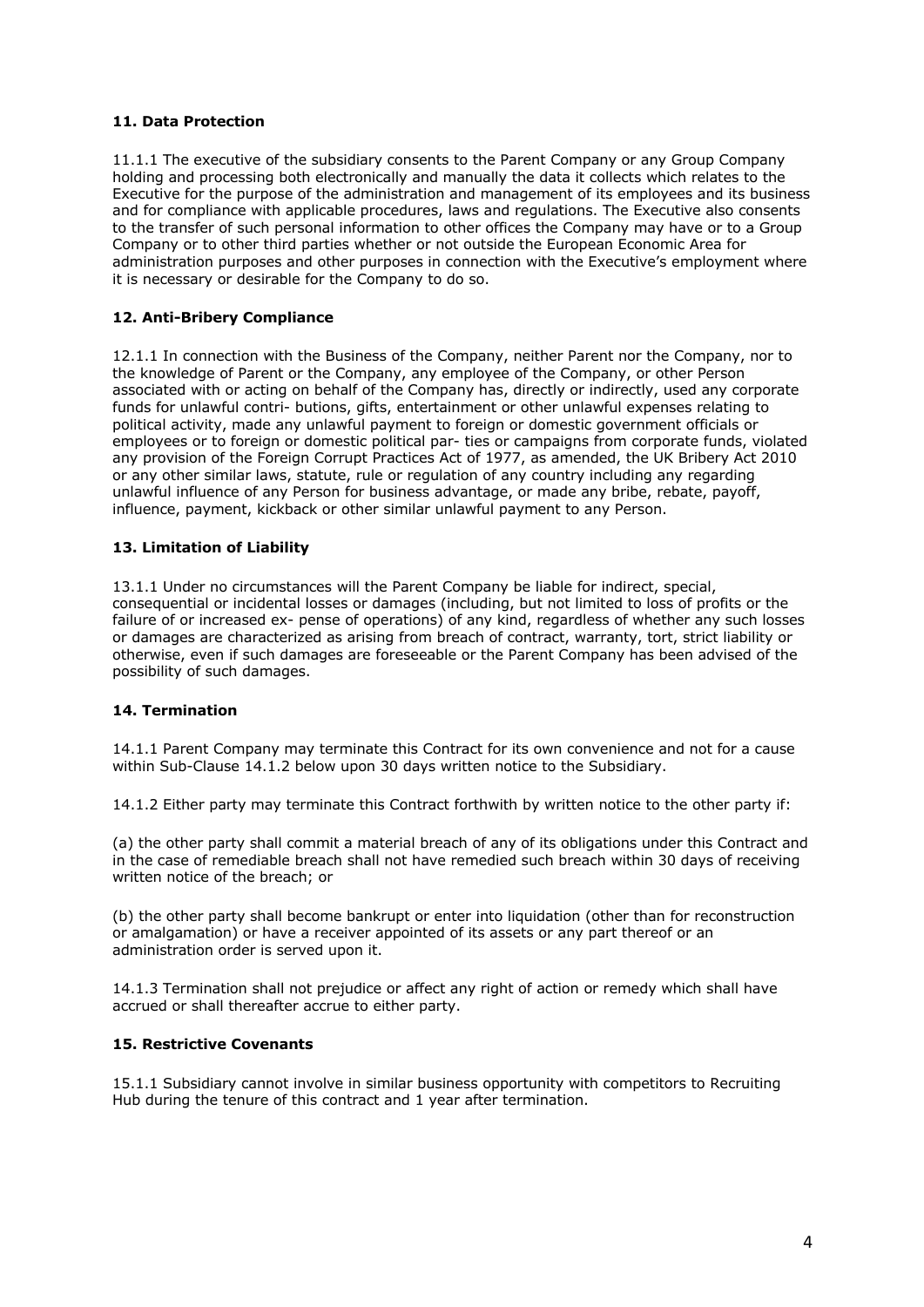## **11. Data Protection**

11.1.1 The executive of the subsidiary consents to the Parent Company or any Group Company holding and processing both electronically and manually the data it collects which relates to the Executive for the purpose of the administration and management of its employees and its business and for compliance with applicable procedures, laws and regulations. The Executive also consents to the transfer of such personal information to other offices the Company may have or to a Group Company or to other third parties whether or not outside the European Economic Area for administration purposes and other purposes in connection with the Executive's employment where it is necessary or desirable for the Company to do so.

## **12. Anti-Bribery Compliance**

12.1.1 In connection with the Business of the Company, neither Parent nor the Company, nor to the knowledge of Parent or the Company, any employee of the Company, or other Person associated with or acting on behalf of the Company has, directly or indirectly, used any corporate funds for unlawful contri- butions, gifts, entertainment or other unlawful expenses relating to political activity, made any unlawful payment to foreign or domestic government officials or employees or to foreign or domestic political par- ties or campaigns from corporate funds, violated any provision of the Foreign Corrupt Practices Act of 1977, as amended, the UK Bribery Act 2010 or any other similar laws, statute, rule or regulation of any country including any regarding unlawful influence of any Person for business advantage, or made any bribe, rebate, payoff, influence, payment, kickback or other similar unlawful payment to any Person.

## **13. Limitation of Liability**

13.1.1 Under no circumstances will the Parent Company be liable for indirect, special, consequential or incidental losses or damages (including, but not limited to loss of profits or the failure of or increased ex- pense of operations) of any kind, regardless of whether any such losses or damages are characterized as arising from breach of contract, warranty, tort, strict liability or otherwise, even if such damages are foreseeable or the Parent Company has been advised of the possibility of such damages.

# **14. Termination**

14.1.1 Parent Company may terminate this Contract for its own convenience and not for a cause within Sub-Clause 14.1.2 below upon 30 days written notice to the Subsidiary.

14.1.2 Either party may terminate this Contract forthwith by written notice to the other party if:

(a) the other party shall commit a material breach of any of its obligations under this Contract and in the case of remediable breach shall not have remedied such breach within 30 days of receiving written notice of the breach; or

(b) the other party shall become bankrupt or enter into liquidation (other than for reconstruction or amalgamation) or have a receiver appointed of its assets or any part thereof or an administration order is served upon it.

14.1.3 Termination shall not prejudice or affect any right of action or remedy which shall have accrued or shall thereafter accrue to either party.

# **15. Restrictive Covenants**

15.1.1 Subsidiary cannot involve in similar business opportunity with competitors to Recruiting Hub during the tenure of this contract and 1 year after termination.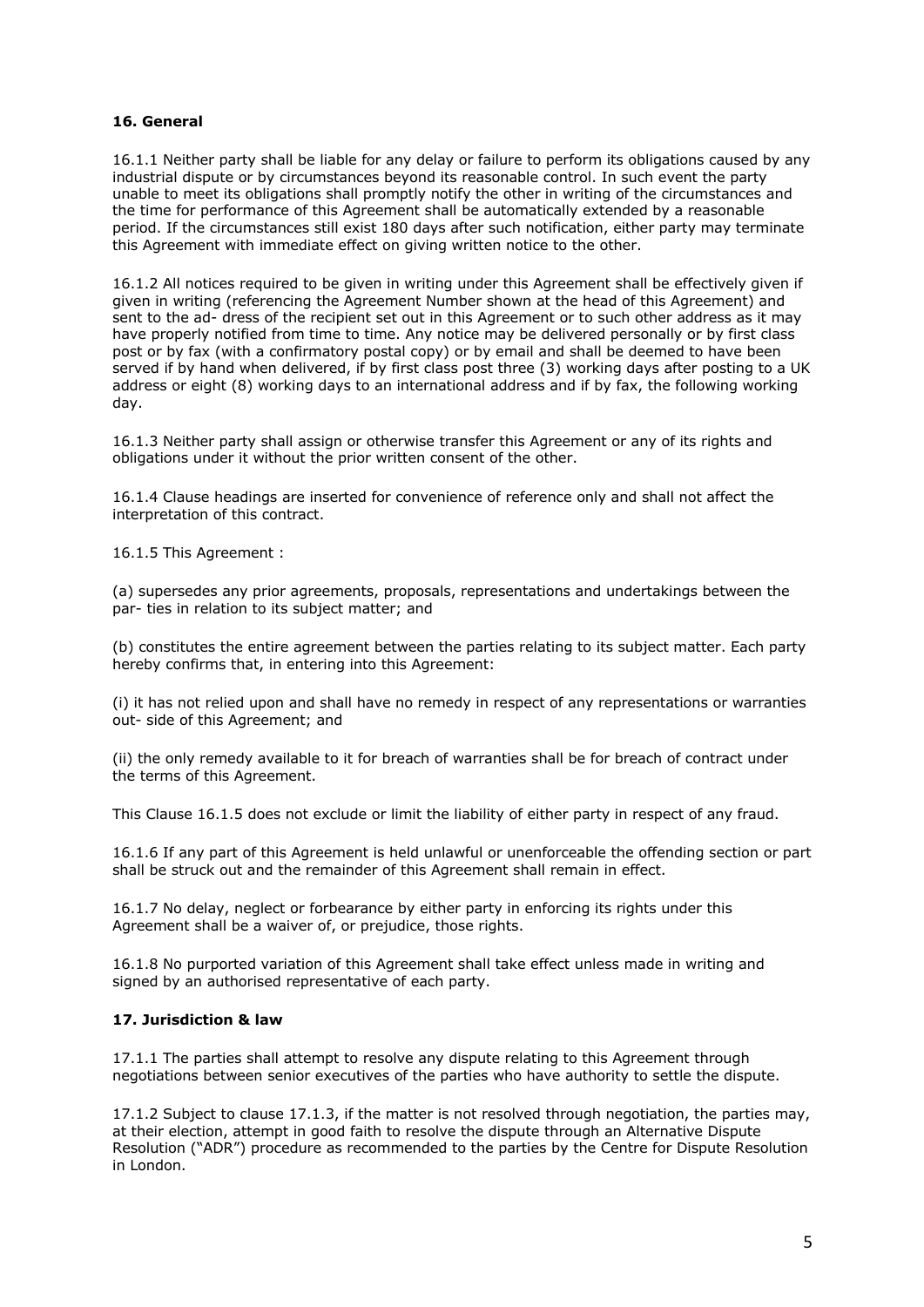## **16. General**

16.1.1 Neither party shall be liable for any delay or failure to perform its obligations caused by any industrial dispute or by circumstances beyond its reasonable control. In such event the party unable to meet its obligations shall promptly notify the other in writing of the circumstances and the time for performance of this Agreement shall be automatically extended by a reasonable period. If the circumstances still exist 180 days after such notification, either party may terminate this Agreement with immediate effect on giving written notice to the other.

16.1.2 All notices required to be given in writing under this Agreement shall be effectively given if given in writing (referencing the Agreement Number shown at the head of this Agreement) and sent to the ad- dress of the recipient set out in this Agreement or to such other address as it may have properly notified from time to time. Any notice may be delivered personally or by first class post or by fax (with a confirmatory postal copy) or by email and shall be deemed to have been served if by hand when delivered, if by first class post three (3) working days after posting to a UK address or eight (8) working days to an international address and if by fax, the following working day.

16.1.3 Neither party shall assign or otherwise transfer this Agreement or any of its rights and obligations under it without the prior written consent of the other.

16.1.4 Clause headings are inserted for convenience of reference only and shall not affect the interpretation of this contract.

16.1.5 This Agreement :

(a) supersedes any prior agreements, proposals, representations and undertakings between the par- ties in relation to its subject matter; and

(b) constitutes the entire agreement between the parties relating to its subject matter. Each party hereby confirms that, in entering into this Agreement:

(i) it has not relied upon and shall have no remedy in respect of any representations or warranties out- side of this Agreement; and

(ii) the only remedy available to it for breach of warranties shall be for breach of contract under the terms of this Agreement.

This Clause 16.1.5 does not exclude or limit the liability of either party in respect of any fraud.

16.1.6 If any part of this Agreement is held unlawful or unenforceable the offending section or part shall be struck out and the remainder of this Agreement shall remain in effect.

16.1.7 No delay, neglect or forbearance by either party in enforcing its rights under this Agreement shall be a waiver of, or prejudice, those rights.

16.1.8 No purported variation of this Agreement shall take effect unless made in writing and signed by an authorised representative of each party.

### **17. Jurisdiction & law**

17.1.1 The parties shall attempt to resolve any dispute relating to this Agreement through negotiations between senior executives of the parties who have authority to settle the dispute.

17.1.2 Subject to clause 17.1.3, if the matter is not resolved through negotiation, the parties may, at their election, attempt in good faith to resolve the dispute through an Alternative Dispute Resolution ("ADR") procedure as recommended to the parties by the Centre for Dispute Resolution in London.